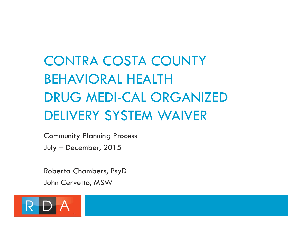## CONTRA COSTA COUNTY BEHAVIORAL HEALTH DRUG MEDI-CAL ORGANIZED DELIVERY SYSTEM WAIVER

Community Planning Process July – December, 2015

Roberta Chambers, PsyD John Cervetto, MSW

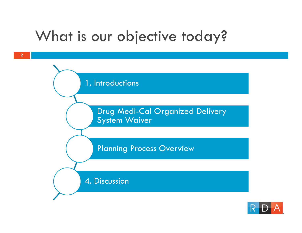### What is our objective today?

**2**



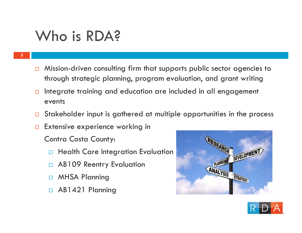### Who is RDA?

**3**

- $\Box$  Mission-driven consulting firm that supports public sector agencies to through strategic planning, program evaluation, and grant writing
- $\Box$  Integrate training and education are included in all engagement events
- $\Box$ Stakeholder input is gathered at multiple opportunities in the process
- $\Box$ Extensive experience working in

Contra Costa County:

- $\Box$ Health Care Integration Evaluation
- П AB109 Reentry Evaluation
- □ MHSA Planning
- AB1421 Planning



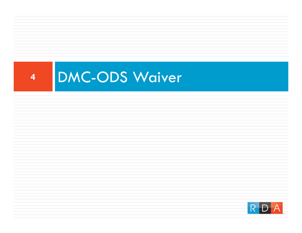

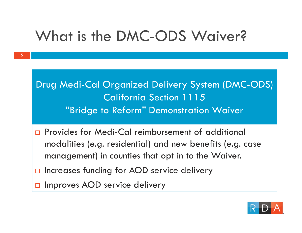### What is the DMC-ODS Waiver?

Drug Medi-Cal Organized Delivery System (DMC-ODS) California Section 1115 "Bridge to Reform" Demonstration Waiver

- $\Box$  Provides for Medi-Cal reimbursement of additional modalities (e.g. residential) and new benefits (e.g. case management) in counties that opt in to the Waiver.
- $\Box$ Increases funding for AOD service delivery
- $\Box$ Improves AOD service delivery

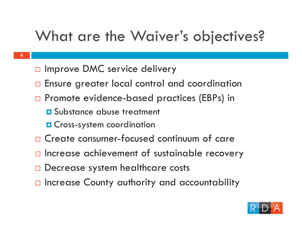### What are the Waiver's objectives?

- **6**
- □ Improve DMC service delivery
- $\Box$ Ensure greater local control and coordination
- □ Promote evidence-based practices (EBPs) in
	- **O** Substance abuse treatment
	- **O** Cross-system coordination
- □ Create consumer-focused continuum of care
- $\Box$  Increase achievement of sustainable recovery
- □ Decrease system healthcare costs
- $\Box$  **Increase County authority and accountability**

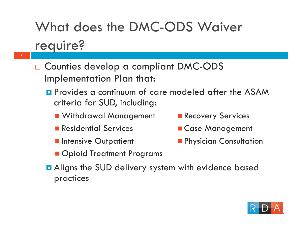# What does the DMC-ODS Waiver

#### require?

- **7**
- □ Counties develop a compliant DMC-ODS Implementation Plan that:
	- **P** Provides a continuum of care modeled after the ASAM criteria for SUD, including:
		- **NATA Withdrawal Management**
		- **Residential Services**
		- **Intensive Outpatient**
- **Recovery Services**
- **E** Case Management
- **Physician Consultation**
- **Opioid Treatment Programs**
- **Q** Aligns the SUD delivery system with evidence based practices

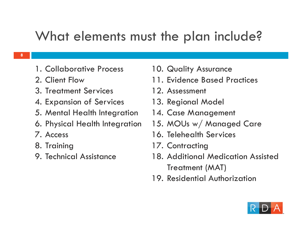#### What elements must the plan include?

- 1. Collaborative Process
- 2. Client Flow
- 3. Treatment Services
- 4. Expansion of Services
- 5. Mental Health Integration
- 6. Physical Health Integration
- 7. Access
- 8. Training
- 9. Technical Assistance
- 10. Quality Assurance
- 11. Evidence Based Practices
- 12. Assessment
- 13. Regional Model
- 14. Case Management
- 15. MOUs w/ Managed Care
- 16. Telehealth Services
- 17. Contracting
- 18. Additional Medication Assisted Treatment (MAT)
- 19. Residential Authorization

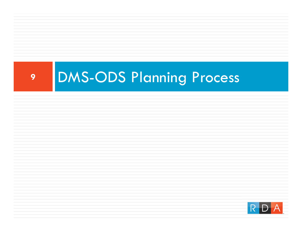

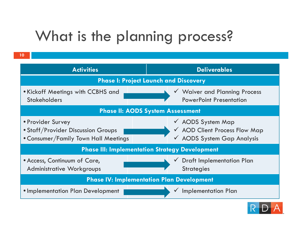### What is the planning process?

| <b>Activities</b>                                                                               | <b>Deliverables</b>                                                                         |
|-------------------------------------------------------------------------------------------------|---------------------------------------------------------------------------------------------|
| <b>Phase I: Project Launch and Discovery</b>                                                    |                                                                                             |
| • Kickoff Meetings with CCBHS and<br><b>Stakeholders</b>                                        | V Waiver and Planning Process<br><b>PowerPoint Presentation</b>                             |
| <b>Phase II: AODS System Assessment</b>                                                         |                                                                                             |
| • Provider Survey<br>• Staff/Provider Discussion Groups<br>• Consumer/Family Town Hall Meetings | $\checkmark$ AODS System Map<br>V AOD Client Process Flow Map<br>✔ AODS System Gap Analysis |
| <b>Phase III: Implementation Strategy Development</b>                                           |                                                                                             |
| • Access, Continuum of Care,<br><b>Administrative Workgroups</b>                                | <b>Draft Implementation Plan</b><br><b>Strategies</b>                                       |
| <b>Phase IV: Implementation Plan Development</b>                                                |                                                                                             |
| • Implementation Plan Development                                                               | <b>Implementation Plan</b>                                                                  |

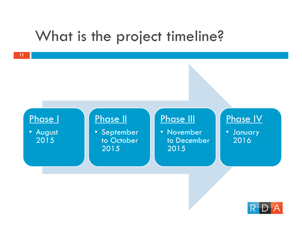### What is the project timeline?



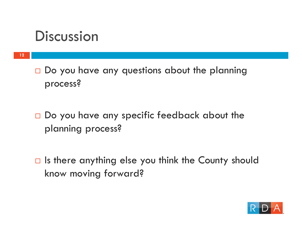### **Discussion**

 $\square$  Do you have any questions about the planning process?

- $\square$  Do you have any specific feedback about the planning process?
- $\Box$  Is there anything else you think the County should know moving forward?